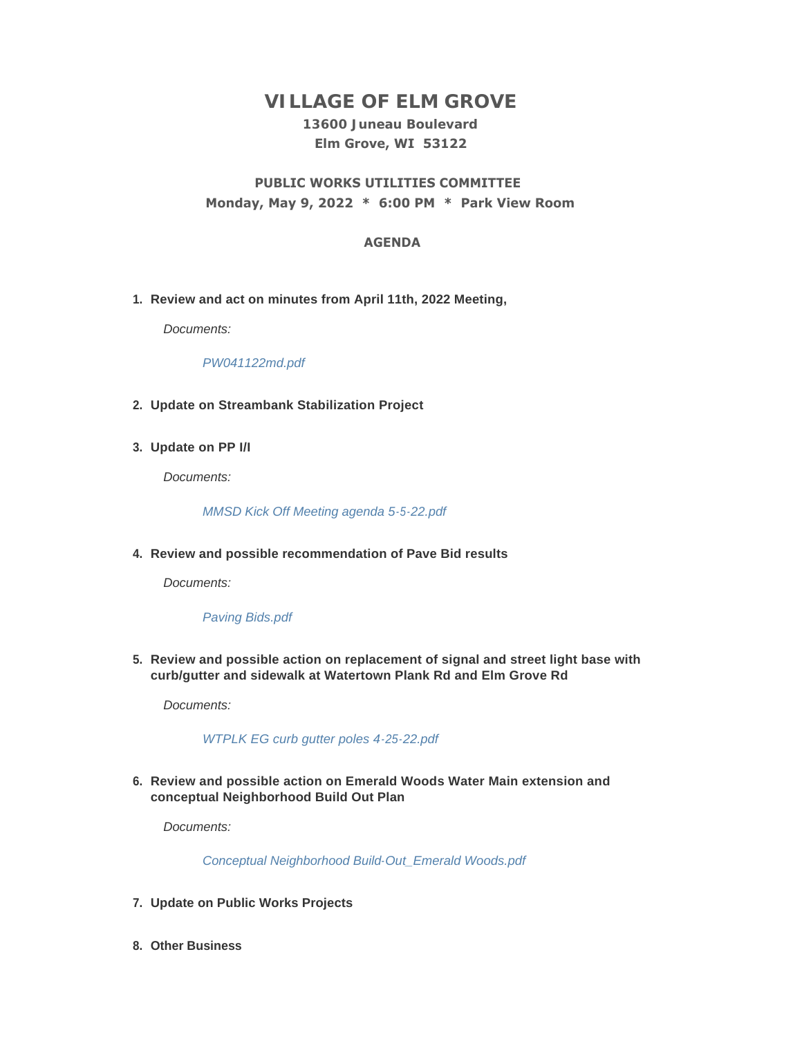# **VILLAGE OF ELM GROVE**

# **13600 Juneau Boulevard Elm Grove, WI 53122**

# **PUBLIC WORKS UTILITIES COMMITTEE Monday, May 9, 2022 \* 6:00 PM \* Park View Room**

## **AGENDA**

**Review and act on minutes from April 11th, 2022 Meeting, 1.**

*Documents:*

*[PW041122md.pdf](https://elmgrovewi.org/AgendaCenter/ViewFile/Item/11856?fileID=18919)*

- **Update on Streambank Stabilization Project 2.**
- **Update on PP I/I 3.**

*Documents:*

*[MMSD Kick Off Meeting agenda 5-5-22.pdf](https://elmgrovewi.org/AgendaCenter/ViewFile/Item/11857?fileID=18920)*

**Review and possible recommendation of Pave Bid results 4.**

*Documents:*

### *[Paving Bids.pdf](https://elmgrovewi.org/AgendaCenter/ViewFile/Item/11859?fileID=18921)*

**Review and possible action on replacement of signal and street light base with 5. curb/gutter and sidewalk at Watertown Plank Rd and Elm Grove Rd** 

*Documents:*

### *[WTPLK EG curb gutter poles 4-25-22.pdf](https://elmgrovewi.org/AgendaCenter/ViewFile/Item/11855?fileID=18918)*

**Review and possible action on Emerald Woods Water Main extension and 6. conceptual Neighborhood Build Out Plan**

*Documents:*

*[Conceptual Neighborhood Build-Out\\_Emerald Woods.pdf](https://elmgrovewi.org/AgendaCenter/ViewFile/Item/11860?fileID=18922)*

- **Update on Public Works Projects 7.**
- **Other Business 8.**